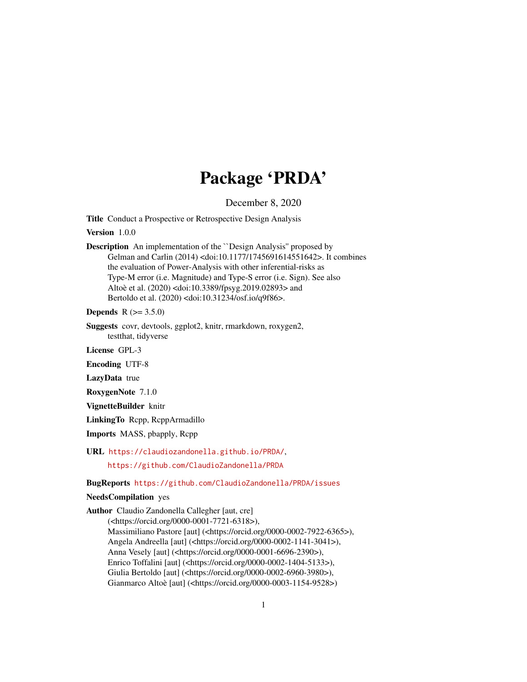## Package 'PRDA'

December 8, 2020

<span id="page-0-0"></span>Title Conduct a Prospective or Retrospective Design Analysis

Version 1.0.0

Description An implementation of the ``Design Analysis'' proposed by Gelman and Carlin (2014) <doi:10.1177/1745691614551642>. It combines the evaluation of Power-Analysis with other inferential-risks as Type-M error (i.e. Magnitude) and Type-S error (i.e. Sign). See also Altoè et al. (2020) <doi:10.3389/fpsyg.2019.02893> and Bertoldo et al. (2020) <doi:10.31234/osf.io/q9f86>.

**Depends** R  $(>= 3.5.0)$ 

Suggests covr, devtools, ggplot2, knitr, rmarkdown, roxygen2, testthat, tidyverse

License GPL-3

Encoding UTF-8

LazyData true

RoxygenNote 7.1.0

VignetteBuilder knitr

LinkingTo Rcpp, RcppArmadillo

Imports MASS, pbapply, Rcpp

URL <https://claudiozandonella.github.io/PRDA/>,

<https://github.com/ClaudioZandonella/PRDA>

BugReports <https://github.com/ClaudioZandonella/PRDA/issues>

NeedsCompilation yes

Author Claudio Zandonella Callegher [aut, cre] (<https://orcid.org/0000-0001-7721-6318>), Massimiliano Pastore [aut] (<https://orcid.org/0000-0002-7922-6365>), Angela Andreella [aut] (<https://orcid.org/0000-0002-1141-3041>), Anna Vesely [aut] (<https://orcid.org/0000-0001-6696-2390>), Enrico Toffalini [aut] (<https://orcid.org/0000-0002-1404-5133>), Giulia Bertoldo [aut] (<https://orcid.org/0000-0002-6960-3980>), Gianmarco Altoè [aut] (<https://orcid.org/0000-0003-1154-9528>)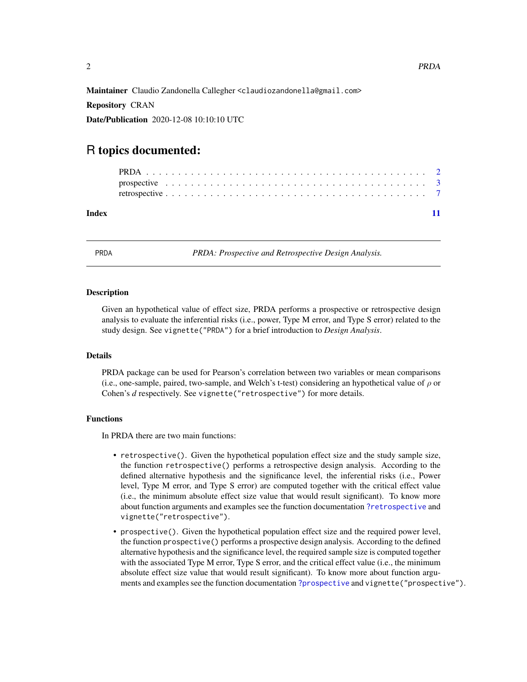<span id="page-1-0"></span>Maintainer Claudio Zandonella Callegher <claudiozandonella@gmail.com>

Repository CRAN

Date/Publication 2020-12-08 10:10:10 UTC

### R topics documented:

| Index |  |  |  |  |  |  |  |  |  |  |  |  |  |  |  |  |  |  |  |  |
|-------|--|--|--|--|--|--|--|--|--|--|--|--|--|--|--|--|--|--|--|--|
|       |  |  |  |  |  |  |  |  |  |  |  |  |  |  |  |  |  |  |  |  |
|       |  |  |  |  |  |  |  |  |  |  |  |  |  |  |  |  |  |  |  |  |

PRDA: Prospective and Retrospective Design Analysis.

#### Description

Given an hypothetical value of effect size, PRDA performs a prospective or retrospective design analysis to evaluate the inferential risks (i.e., power, Type M error, and Type S error) related to the study design. See vignette("PRDA") for a brief introduction to *Design Analysis*.

#### Details

PRDA package can be used for Pearson's correlation between two variables or mean comparisons (i.e., one-sample, paired, two-sample, and Welch's t-test) considering an hypothetical value of  $\rho$  or Cohen's *d* respectively. See vignette("retrospective") for more details.

#### Functions

In PRDA there are two main functions:

- retrospective(). Given the hypothetical population effect size and the study sample size, the function retrospective() performs a retrospective design analysis. According to the defined alternative hypothesis and the significance level, the inferential risks (i.e., Power level, Type M error, and Type S error) are computed together with the critical effect value (i.e., the minimum absolute effect size value that would result significant). To know more about function arguments and examples see the function documentation [?retrospective](#page-0-0) and vignette("retrospective").
- prospective(). Given the hypothetical population effect size and the required power level, the function prospective() performs a prospective design analysis. According to the defined alternative hypothesis and the significance level, the required sample size is computed together with the associated Type M error, Type S error, and the critical effect value (i.e., the minimum absolute effect size value that would result significant). To know more about function arguments and examples see the function documentation [?prospective](#page-0-0) and vignette("prospective").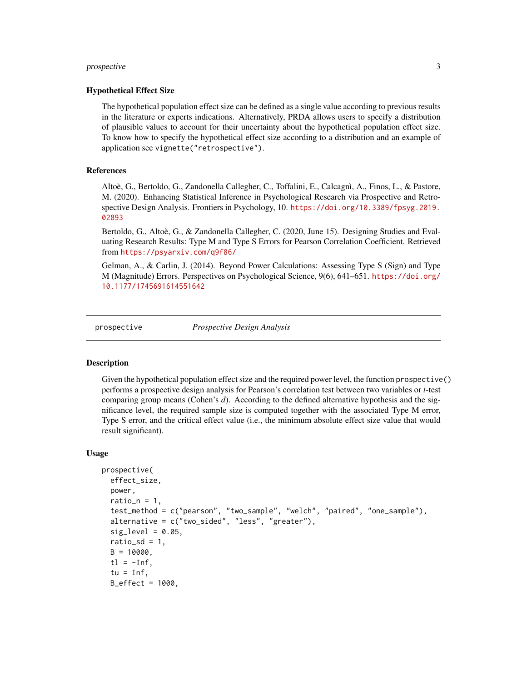#### <span id="page-2-0"></span>prospective 3

#### Hypothetical Effect Size

The hypothetical population effect size can be defined as a single value according to previous results in the literature or experts indications. Alternatively, PRDA allows users to specify a distribution of plausible values to account for their uncertainty about the hypothetical population effect size. To know how to specify the hypothetical effect size according to a distribution and an example of application see vignette("retrospective").

#### References

Altoè, G., Bertoldo, G., Zandonella Callegher, C., Toffalini, E., Calcagnì, A., Finos, L., & Pastore, M. (2020). Enhancing Statistical Inference in Psychological Research via Prospective and Retrospective Design Analysis. Frontiers in Psychology, 10. [https://doi.org/10.3389/fpsyg.2019.](https://doi.org/10.3389/fpsyg.2019.02893) [02893](https://doi.org/10.3389/fpsyg.2019.02893)

Bertoldo, G., Altoè, G., & Zandonella Callegher, C. (2020, June 15). Designing Studies and Evaluating Research Results: Type M and Type S Errors for Pearson Correlation Coefficient. Retrieved from <https://psyarxiv.com/q9f86/>

Gelman, A., & Carlin, J. (2014). Beyond Power Calculations: Assessing Type S (Sign) and Type M (Magnitude) Errors. Perspectives on Psychological Science, 9(6), 641–651. [https://doi.org/](https://doi.org/10.1177/1745691614551642) [10.1177/1745691614551642](https://doi.org/10.1177/1745691614551642)

prospective *Prospective Design Analysis*

#### Description

Given the hypothetical population effect size and the required power level, the function prospective() performs a prospective design analysis for Pearson's correlation test between two variables or *t*-test comparing group means (Cohen's *d*). According to the defined alternative hypothesis and the significance level, the required sample size is computed together with the associated Type M error, Type S error, and the critical effect value (i.e., the minimum absolute effect size value that would result significant).

#### Usage

```
prospective(
  effect_size,
  power,
  ratio_n = 1,
  test_method = c("pearson", "two_sample", "welch", "paired", "one_sample"),
  alternative = c("two_sided", "less", "greater"),
  sig\_level = 0.05,
  ratio_sd = 1,
 B = 10000,
  tl = -Inf,tu = Inf,B_effect = 1000,
```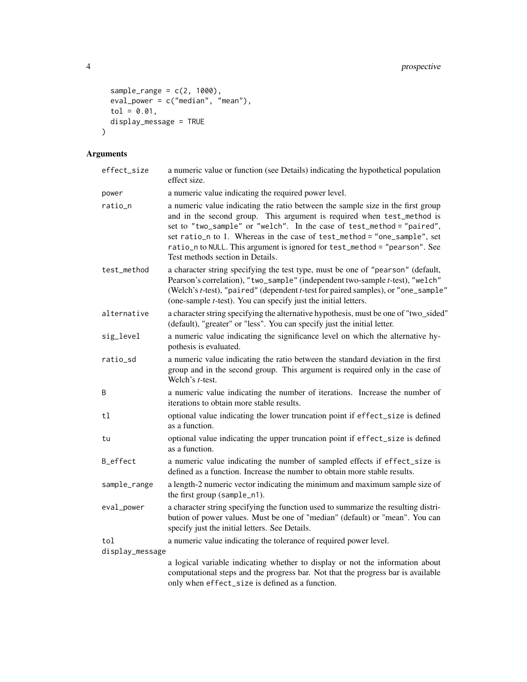```
sample\_range = c(2, 1000),
  eval_power = c("median", "mean"),
 tol = 0.01,
  display_message = TRUE
\mathcal{L}
```
### Arguments

| effect_size     | a numeric value or function (see Details) indicating the hypothetical population<br>effect size.                                                                                                                                                                                                                                                                                                                                  |
|-----------------|-----------------------------------------------------------------------------------------------------------------------------------------------------------------------------------------------------------------------------------------------------------------------------------------------------------------------------------------------------------------------------------------------------------------------------------|
| power           | a numeric value indicating the required power level.                                                                                                                                                                                                                                                                                                                                                                              |
| ratio_n         | a numeric value indicating the ratio between the sample size in the first group<br>and in the second group. This argument is required when test_method is<br>set to "two_sample" or "welch". In the case of test_method = "paired",<br>set ratio_n to 1. Whereas in the case of test_method = "one_sample", set<br>ratio_n to NULL. This argument is ignored for test_method = "pearson". See<br>Test methods section in Details. |
| test_method     | a character string specifying the test type, must be one of "pearson" (default,<br>Pearson's correlation), "two_sample" (independent two-sample t-test), "welch"<br>(Welch's t-test), "paired" (dependent t-test for paired samples), or "one_sample"<br>(one-sample <i>t</i> -test). You can specify just the initial letters.                                                                                                   |
| alternative     | a character string specifying the alternative hypothesis, must be one of "two_sided"<br>(default), "greater" or "less". You can specify just the initial letter.                                                                                                                                                                                                                                                                  |
| sig_level       | a numeric value indicating the significance level on which the alternative hy-<br>pothesis is evaluated.                                                                                                                                                                                                                                                                                                                          |
| ratio_sd        | a numeric value indicating the ratio between the standard deviation in the first<br>group and in the second group. This argument is required only in the case of<br>Welch's t-test.                                                                                                                                                                                                                                               |
| B               | a numeric value indicating the number of iterations. Increase the number of<br>iterations to obtain more stable results.                                                                                                                                                                                                                                                                                                          |
| t1              | optional value indicating the lower truncation point if effect_size is defined<br>as a function.                                                                                                                                                                                                                                                                                                                                  |
| tu              | optional value indicating the upper truncation point if effect_size is defined<br>as a function.                                                                                                                                                                                                                                                                                                                                  |
| B_effect        | a numeric value indicating the number of sampled effects if effect_size is<br>defined as a function. Increase the number to obtain more stable results.                                                                                                                                                                                                                                                                           |
| sample_range    | a length-2 numeric vector indicating the minimum and maximum sample size of<br>the first group (sample_n1).                                                                                                                                                                                                                                                                                                                       |
| eval_power      | a character string specifying the function used to summarize the resulting distri-<br>bution of power values. Must be one of "median" (default) or "mean". You can<br>specify just the initial letters. See Details.                                                                                                                                                                                                              |
| tol             | a numeric value indicating the tolerance of required power level.                                                                                                                                                                                                                                                                                                                                                                 |
| display_message |                                                                                                                                                                                                                                                                                                                                                                                                                                   |
|                 | a logical variable indicating whether to display or not the information about<br>computational steps and the progress bar. Not that the progress bar is available<br>only when effect_size is defined as a function.                                                                                                                                                                                                              |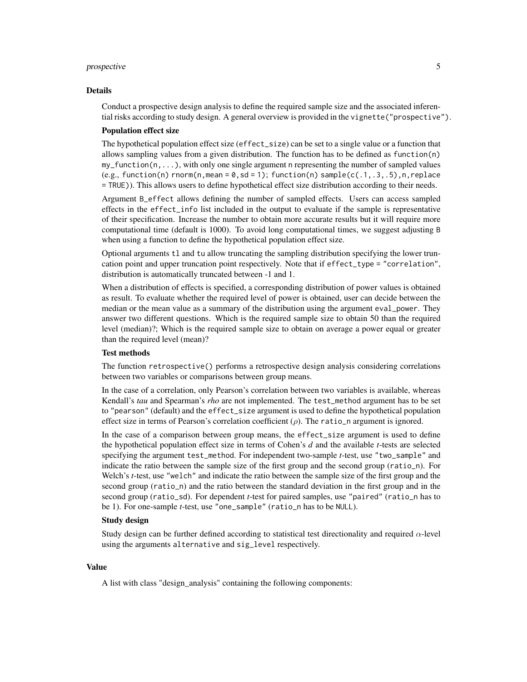#### prospective 5

#### Details

Conduct a prospective design analysis to define the required sample size and the associated inferential risks according to study design. A general overview is provided in the vignette("prospective").

#### Population effect size

The hypothetical population effect size (effect\_size) can be set to a single value or a function that allows sampling values from a given distribution. The function has to be defined as function(n) my\_function(n,...), with only one single argument n representing the number of sampled values  $(e.g., function(n)$  rnorm $(n,mean = 0, sd = 1)$ ; function $(n)$  sample( $c(.1, .3, .5)$ , n, replace = TRUE)). This allows users to define hypothetical effect size distribution according to their needs.

Argument B\_effect allows defining the number of sampled effects. Users can access sampled effects in the effect\_info list included in the output to evaluate if the sample is representative of their specification. Increase the number to obtain more accurate results but it will require more computational time (default is 1000). To avoid long computational times, we suggest adjusting B when using a function to define the hypothetical population effect size.

Optional arguments tl and tu allow truncating the sampling distribution specifying the lower truncation point and upper truncation point respectively. Note that if effect\_type = "correlation", distribution is automatically truncated between -1 and 1.

When a distribution of effects is specified, a corresponding distribution of power values is obtained as result. To evaluate whether the required level of power is obtained, user can decide between the median or the mean value as a summary of the distribution using the argument eval\_power. They answer two different questions. Which is the required sample size to obtain 50 than the required level (median)?; Which is the required sample size to obtain on average a power equal or greater than the required level (mean)?

#### Test methods

The function retrospective() performs a retrospective design analysis considering correlations between two variables or comparisons between group means.

In the case of a correlation, only Pearson's correlation between two variables is available, whereas Kendall's *tau* and Spearman's *rho* are not implemented. The test\_method argument has to be set to "pearson" (default) and the effect\_size argument is used to define the hypothetical population effect size in terms of Pearson's correlation coefficient  $(\rho)$ . The ratio\_n argument is ignored.

In the case of a comparison between group means, the effect\_size argument is used to define the hypothetical population effect size in terms of Cohen's *d* and the available *t*-tests are selected specifying the argument test\_method. For independent two-sample *t*-test, use "two\_sample" and indicate the ratio between the sample size of the first group and the second group (ratio\_n). For Welch's *t*-test, use "welch" and indicate the ratio between the sample size of the first group and the second group (ratio\_n) and the ratio between the standard deviation in the first group and in the second group (ratio\_sd). For dependent *t*-test for paired samples, use "paired" (ratio\_n has to be 1). For one-sample *t*-test, use "one\_sample" (ratio\_n has to be NULL).

#### Study design

Study design can be further defined according to statistical test directionality and required  $\alpha$ -level using the arguments alternative and sig\_level respectively.

#### Value

A list with class "design\_analysis" containing the following components: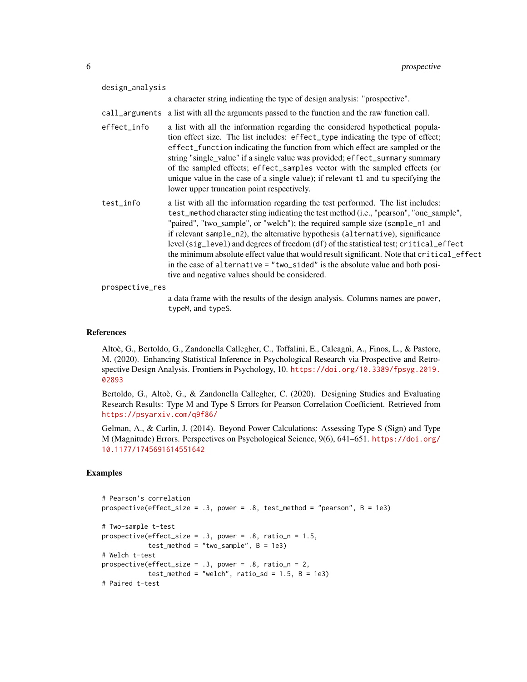| design_analysis                                                                                                                                                                                                                                                                                                                                                                                                                                                                                                                                                                                                                                                         |
|-------------------------------------------------------------------------------------------------------------------------------------------------------------------------------------------------------------------------------------------------------------------------------------------------------------------------------------------------------------------------------------------------------------------------------------------------------------------------------------------------------------------------------------------------------------------------------------------------------------------------------------------------------------------------|
| a character string indicating the type of design analysis: "prospective".                                                                                                                                                                                                                                                                                                                                                                                                                                                                                                                                                                                               |
| call_arguments a list with all the arguments passed to the function and the raw function call.                                                                                                                                                                                                                                                                                                                                                                                                                                                                                                                                                                          |
| a list with all the information regarding the considered hypothetical popula-<br>tion effect size. The list includes: effect_type indicating the type of effect;<br>effect_function indicating the function from which effect are sampled or the<br>string "single_value" if a single value was provided; effect_summary summary<br>of the sampled effects; effect_samples vector with the sampled effects (or<br>unique value in the case of a single value); if relevant t1 and tu specifying the<br>lower upper truncation point respectively.                                                                                                                       |
| a list with all the information regarding the test performed. The list includes:<br>test_method character sting indicating the test method (i.e., "pearson", "one_sample",<br>"paired", "two_sample", or "welch"); the required sample size (sample_n1 and<br>if relevant sample_n2), the alternative hypothesis (alternative), significance<br>level (sig_level) and degrees of freedom (df) of the statistical test; critical_effect<br>the minimum absolute effect value that would result significant. Note that critical_effect<br>in the case of alternative = "two_sided" is the absolute value and both posi-<br>tive and negative values should be considered. |
| prospective_res                                                                                                                                                                                                                                                                                                                                                                                                                                                                                                                                                                                                                                                         |
| a data frame with the results of the design analysis. Columns names are power,<br>typeM, and typeS.                                                                                                                                                                                                                                                                                                                                                                                                                                                                                                                                                                     |
|                                                                                                                                                                                                                                                                                                                                                                                                                                                                                                                                                                                                                                                                         |

#### References

Altoè, G., Bertoldo, G., Zandonella Callegher, C., Toffalini, E., Calcagnì, A., Finos, L., & Pastore, M. (2020). Enhancing Statistical Inference in Psychological Research via Prospective and Retrospective Design Analysis. Frontiers in Psychology, 10. [https://doi.org/10.3389/fpsyg.2019.](https://doi.org/10.3389/fpsyg.2019.02893) [02893](https://doi.org/10.3389/fpsyg.2019.02893)

Bertoldo, G., Altoè, G., & Zandonella Callegher, C. (2020). Designing Studies and Evaluating Research Results: Type M and Type S Errors for Pearson Correlation Coefficient. Retrieved from <https://psyarxiv.com/q9f86/>

Gelman, A., & Carlin, J. (2014). Beyond Power Calculations: Assessing Type S (Sign) and Type M (Magnitude) Errors. Perspectives on Psychological Science, 9(6), 641–651. [https://doi.org/](https://doi.org/10.1177/1745691614551642) [10.1177/1745691614551642](https://doi.org/10.1177/1745691614551642)

#### Examples

```
# Pearson's correlation
prospective(effect_size = .3, power = .8, test_method = "pearson", B = 1e3)
# Two-sample t-test
prospective(effect_size = .3, power = .8, ratio_n = 1.5,
           test\_method = "two\_sample", B = 1e3)# Welch t-test
prospective(effect_size = .3, power = .8, ratio_n = 2,
           test_method = "welch", ratio_s = 1.5, B = 1e3)
# Paired t-test
```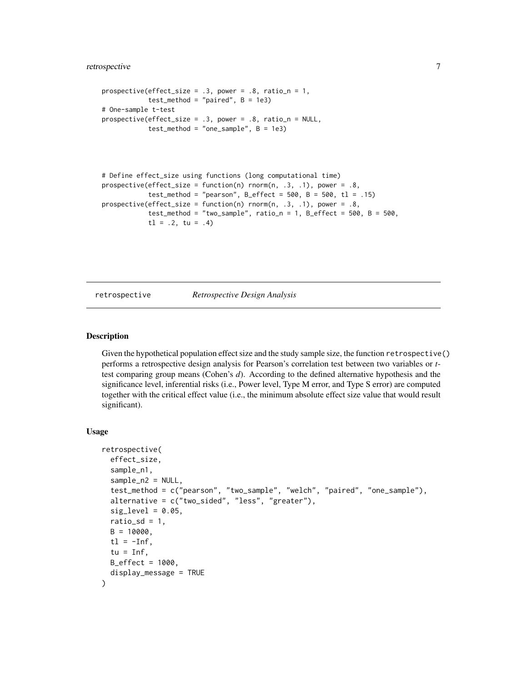#### <span id="page-6-0"></span>retrospective 7

```
prospective(effect_size = .3, power = .8, ratio_n = 1,
            test\_method = "paired", B = 1e3)# One-sample t-test
prospective(effect_size = .3, power = .8, ratio_n = NULL,
            test\_method = "one\_sample", B = 1e3)
```

```
# Define effect_size using functions (long computational time)
prospective(effect_size = function(n) rnorm(n, .3, .1), power = .8,
            test_method = "pearson", B_{eff} = 500, B = 500, t1 = .15)
prospective(effect_size = function(n) rnorm(n, .3, .1), power = .8,
           test\_method = "two\_sample", ratio_n = 1, B\_effect = 500, B = 500,t1 = .2, tu = .4)
```
retrospective *Retrospective Design Analysis*

#### Description

Given the hypothetical population effect size and the study sample size, the function retrospective() performs a retrospective design analysis for Pearson's correlation test between two variables or *t*test comparing group means (Cohen's *d*). According to the defined alternative hypothesis and the significance level, inferential risks (i.e., Power level, Type M error, and Type S error) are computed together with the critical effect value (i.e., the minimum absolute effect size value that would result significant).

#### Usage

```
retrospective(
  effect_size,
  sample_n1,
  sample_n2 = NULL,
  test_method = c("pearson", "two_sample", "welch", "paired", "one_sample"),
  alternative = c("two_sided", "less", "greater"),
  sig\_level = 0.05,
  ratio_sd = 1,
 B = 10000,
  t = -Inf,tu = Inf,B_{effect} = 1000,
  display_message = TRUE
)
```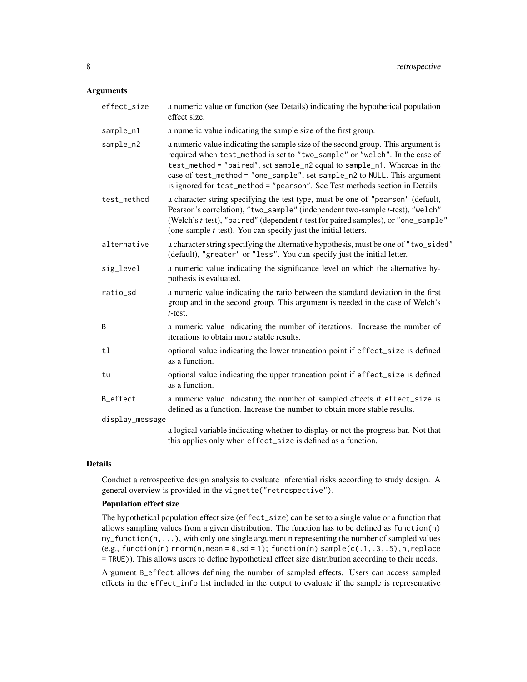#### Arguments

| effect_size     | a numeric value or function (see Details) indicating the hypothetical population<br>effect size.                                                                                                                                                                                                                                                                                                        |
|-----------------|---------------------------------------------------------------------------------------------------------------------------------------------------------------------------------------------------------------------------------------------------------------------------------------------------------------------------------------------------------------------------------------------------------|
| sample_n1       | a numeric value indicating the sample size of the first group.                                                                                                                                                                                                                                                                                                                                          |
| sample_n2       | a numeric value indicating the sample size of the second group. This argument is<br>required when test_method is set to "two_sample" or "welch". In the case of<br>test_method = "paired", set sample_n2 equal to sample_n1. Whereas in the<br>case of test_method = "one_sample", set sample_n2 to NULL. This argument<br>is ignored for test_method = "pearson". See Test methods section in Details. |
| test_method     | a character string specifying the test type, must be one of "pearson" (default,<br>Pearson's correlation), "two_sample" (independent two-sample t-test), "welch"<br>(Welch's t-test), "paired" (dependent t-test for paired samples), or "one_sample"<br>(one-sample <i>t</i> -test). You can specify just the initial letters.                                                                         |
| alternative     | a character string specifying the alternative hypothesis, must be one of "two_sided"<br>(default), "greater" or "less". You can specify just the initial letter.                                                                                                                                                                                                                                        |
| sig_level       | a numeric value indicating the significance level on which the alternative hy-<br>pothesis is evaluated.                                                                                                                                                                                                                                                                                                |
| ratio_sd        | a numeric value indicating the ratio between the standard deviation in the first<br>group and in the second group. This argument is needed in the case of Welch's<br>$t$ -test.                                                                                                                                                                                                                         |
| B               | a numeric value indicating the number of iterations. Increase the number of<br>iterations to obtain more stable results.                                                                                                                                                                                                                                                                                |
| tl              | optional value indicating the lower truncation point if effect_size is defined<br>as a function.                                                                                                                                                                                                                                                                                                        |
| tu              | optional value indicating the upper truncation point if effect_size is defined<br>as a function.                                                                                                                                                                                                                                                                                                        |
| B_effect        | a numeric value indicating the number of sampled effects if effect_size is<br>defined as a function. Increase the number to obtain more stable results.                                                                                                                                                                                                                                                 |
| display_message |                                                                                                                                                                                                                                                                                                                                                                                                         |
|                 | a logical variable indicating whether to display or not the progress bar. Not that<br>this applies only when effect_size is defined as a function.                                                                                                                                                                                                                                                      |

#### Details

Conduct a retrospective design analysis to evaluate inferential risks according to study design. A general overview is provided in the vignette("retrospective").

#### Population effect size

The hypothetical population effect size (effect\_size) can be set to a single value or a function that allows sampling values from a given distribution. The function has to be defined as function(n)  $my_function(n, \ldots)$ , with only one single argument n representing the number of sampled values  $(e.g., function(n)$  rnorm $(n,mean = 0, sd = 1)$ ; function $(n)$  sample $(c(.1, .3, .5), n, replace$ = TRUE)). This allows users to define hypothetical effect size distribution according to their needs.

Argument B\_effect allows defining the number of sampled effects. Users can access sampled effects in the effect\_info list included in the output to evaluate if the sample is representative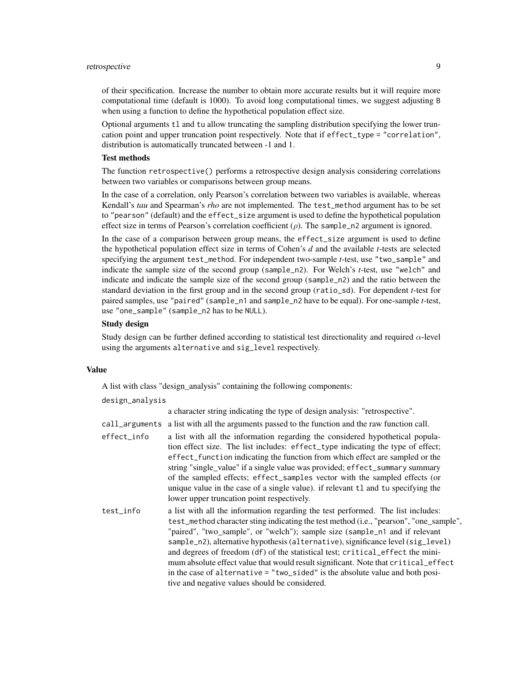#### retrospective 9

of their specification. Increase the number to obtain more accurate results but it will require more computational time (default is 1000). To avoid long computational times, we suggest adjusting B when using a function to define the hypothetical population effect size.

Optional arguments tl and tu allow truncating the sampling distribution specifying the lower truncation point and upper truncation point respectively. Note that if effect\_type = "correlation", distribution is automatically truncated between -1 and 1.

#### Test methods

The function retrospective() performs a retrospective design analysis considering correlations between two variables or comparisons between group means.

In the case of a correlation, only Pearson's correlation between two variables is available, whereas Kendall's *tau* and Spearman's *rho* are not implemented. The test\_method argument has to be set to "pearson" (default) and the effect\_size argument is used to define the hypothetical population effect size in terms of Pearson's correlation coefficient  $(\rho)$ . The sample\_n2 argument is ignored.

In the case of a comparison between group means, the effect\_size argument is used to define the hypothetical population effect size in terms of Cohen's *d* and the available *t*-tests are selected specifying the argument test\_method. For independent two-sample *t*-test, use "two\_sample" and indicate the sample size of the second group (sample\_n2). For Welch's *t*-test, use "welch" and indicate and indicate the sample size of the second group (sample\_n2) and the ratio between the standard deviation in the first group and in the second group (ratio\_sd). For dependent *t*-test for paired samples, use "paired" (sample\_n1 and sample\_n2 have to be equal). For one-sample *t*-test, use "one\_sample" (sample\_n2 has to be NULL).

#### Study design

Study design can be further defined according to statistical test directionality and required  $\alpha$ -level using the arguments alternative and sig\_level respectively.

#### Value

A list with class "design\_analysis" containing the following components:

design\_analysis

a character string indicating the type of design analysis: "retrospective".

|             | call_arguments a list with all the arguments passed to the function and the raw function call.                                                                                                                                                                                                                                                                                                                                                                                                                                                    |
|-------------|---------------------------------------------------------------------------------------------------------------------------------------------------------------------------------------------------------------------------------------------------------------------------------------------------------------------------------------------------------------------------------------------------------------------------------------------------------------------------------------------------------------------------------------------------|
| effect_info | a list with all the information regarding the considered hypothetical popula-<br>tion effect size. The list includes: effect_type indicating the type of effect;<br>effect_function indicating the function from which effect are sampled or the<br>string "single_value" if a single value was provided; effect_summary summary<br>of the sampled effects; effect_samples vector with the sampled effects (or<br>unique value in the case of a single value). if relevant t1 and tu specifying the<br>lower upper truncation point respectively. |
| test_info   | a list with all the information regarding the test performed. The list includes:<br>test_method character sting indicating the test method (i.e., "pearson", "one_sample",<br>"paired", "two_sample", or "welch"); sample size (sample_n1 and if relevant<br>sample_n2), alternative hypothesis (alternative), significance level (sig_level)                                                                                                                                                                                                     |

and degrees of freedom (df) of the statistical test; critical effect the minimum absolute effect value that would result significant. Note that critical\_effect in the case of alternative = "two\_sided" is the absolute value and both positive and negative values should be considered.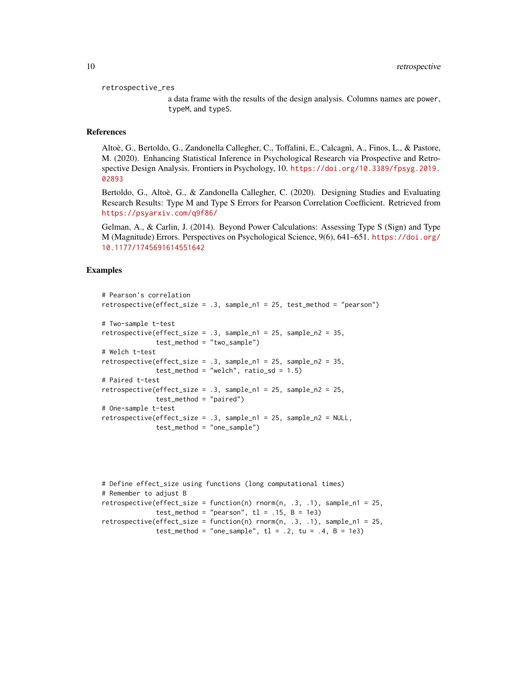retrospective\_res

a data frame with the results of the design analysis. Columns names are power, typeM, and typeS.

#### References

Altoè, G., Bertoldo, G., Zandonella Callegher, C., Toffalini, E., Calcagnì, A., Finos, L., & Pastore, M. (2020). Enhancing Statistical Inference in Psychological Research via Prospective and Retrospective Design Analysis. Frontiers in Psychology, 10. [https://doi.org/10.3389/fpsyg.2019.](https://doi.org/10.3389/fpsyg.2019.02893) [02893](https://doi.org/10.3389/fpsyg.2019.02893)

Bertoldo, G., Altoè, G., & Zandonella Callegher, C. (2020). Designing Studies and Evaluating Research Results: Type M and Type S Errors for Pearson Correlation Coefficient. Retrieved from <https://psyarxiv.com/q9f86/>

Gelman, A., & Carlin, J. (2014). Beyond Power Calculations: Assessing Type S (Sign) and Type M (Magnitude) Errors. Perspectives on Psychological Science, 9(6), 641–651. [https://doi.org/](https://doi.org/10.1177/1745691614551642) [10.1177/1745691614551642](https://doi.org/10.1177/1745691614551642)

#### Examples

```
# Pearson's correlation
retrospective(effect_size = .3, sample_n1 = 25, test_method = "pearson")
# Two-sample t-test
retrospective(effect_size = .3, sample_n1 = 25, sample_n2 = 35,
              test_method = "two_sample")
# Welch t-test
retrospective(effect_size = .3, sample_n1 = 25, sample_n2 = 35,
             test_method = "welch", ratio_s = 1.5)
# Paired t-test
retrospective(effect_size = .3, sample_n1 = 25, sample_n2 = 25,
              test_method = "paired")
# One-sample t-test
retrospective(effect_size = .3, sample_n1 = 25, sample_n2 = NULL,
              test_method = "one_sample")
```

```
# Define effect_size using functions (long computational times)
# Remember to adjust B
retrospective(effect_size = function(n) rnorm(n, .3, .1), sample_n1 = 25,test_method = "pearson", t1 = .15, B = 1e3)
retrospective(effective_size = function(n) rnorm(n, .3, .1), sample_n1 = 25,test_method = "one_sample", t1 = .2, tu = .4, B = 1e3)
```